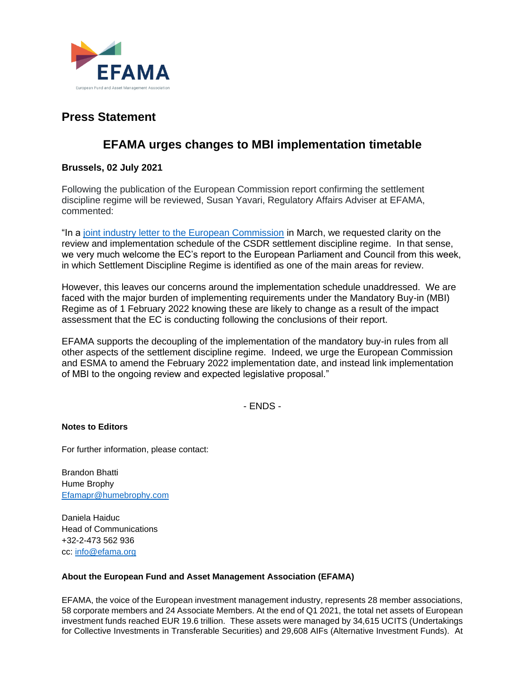

# **Press Statement**

## **EFAMA urges changes to MBI implementation timetable**

## **Brussels, 02 July 2021**

Following the publication of the European Commission report confirming the settlement discipline regime will be reviewed, Susan Yavari, Regulatory Affairs Adviser at EFAMA, commented:

"In a [joint industry letter to the European Commission](https://www.efama.org/newsroom/news/joint-trade-association-letter-regarding-implementation-csdr-sdr) in March, we requested clarity on the review and implementation schedule of the CSDR settlement discipline regime. In that sense, we very much welcome the EC's report to the European Parliament and Council from this week, in which Settlement Discipline Regime is identified as one of the main areas for review.

However, this leaves our concerns around the implementation schedule unaddressed. We are faced with the major burden of implementing requirements under the Mandatory Buy-in (MBI) Regime as of 1 February 2022 knowing these are likely to change as a result of the impact assessment that the EC is conducting following the conclusions of their report.

EFAMA supports the decoupling of the implementation of the mandatory buy-in rules from all other aspects of the settlement discipline regime. Indeed, we urge the European Commission and ESMA to amend the February 2022 implementation date, and instead link implementation of MBI to the ongoing review and expected legislative proposal."

- ENDS -

### **Notes to Editors**

For further information, please contact:

Brandon Bhatti Hume Brophy [Efamapr@humebrophy.com](mailto:Efamapr@humebrophy.com)

Daniela Haiduc Head of Communications +32-2-473 562 936 cc: [info@efama.org](mailto:info@efama.org) 

### **About the European Fund and Asset Management Association (EFAMA)**

EFAMA, the voice of the European investment management industry, represents 28 member associations, 58 corporate members and 24 Associate Members. At the end of Q1 2021, the total net assets of European investment funds reached EUR 19.6 trillion. These assets were managed by 34,615 UCITS (Undertakings for Collective Investments in Transferable Securities) and 29,608 AIFs (Alternative Investment Funds). At